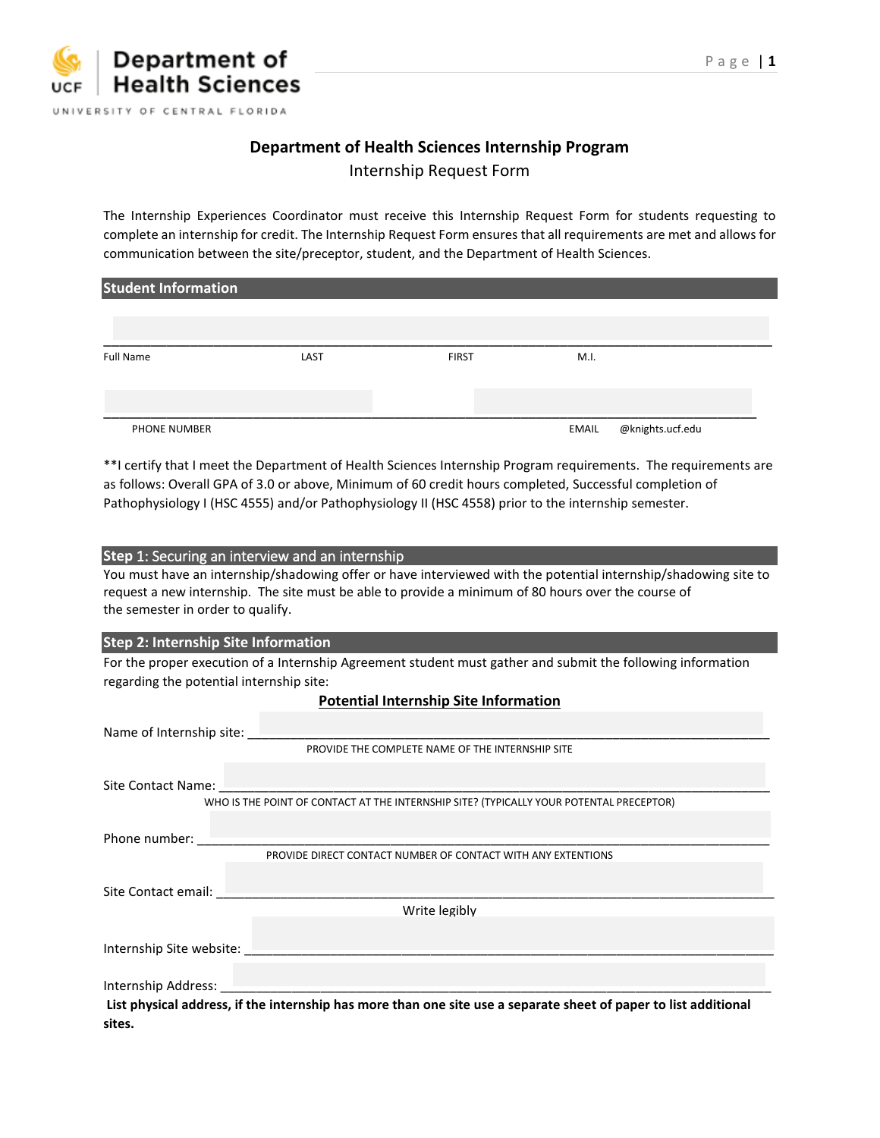# **Department of Health Sciences Internship Program**

Internship Request Form

The Internship Experiences Coordinator must receive this Internship Request Form for students requesting to complete an internship for credit. The Internship Request Form ensures that all requirements are met and allows for communication between the site/preceptor, student, and the Department of Health Sciences.

| <b>Student Information</b> |      |              |       |                  |  |  |  |  |
|----------------------------|------|--------------|-------|------------------|--|--|--|--|
|                            |      |              |       |                  |  |  |  |  |
|                            |      |              |       |                  |  |  |  |  |
| <b>Full Name</b>           | LAST | <b>FIRST</b> | M.I.  |                  |  |  |  |  |
|                            |      |              |       |                  |  |  |  |  |
|                            |      |              |       |                  |  |  |  |  |
| <b>PHONE NUMBER</b>        |      |              | EMAIL | @knights.ucf.edu |  |  |  |  |

\*\*I certify that I meet the Department of Health Sciences Internship Program requirements. The requirements are as follows: Overall GPA of 3.0 or above, Minimum of 60 credit hours completed, Successful completion of Pathophysiology I (HSC 4555) and/or Pathophysiology II (HSC 4558) prior to the internship semester.

### **Step** 1: Securing an interview and an internship

You must have an internship/shadowing offer or have interviewed with the potential internship/shadowing site to request a new internship. The site must be able to provide a minimum of 80 hours over the course of the semester in order to qualify.

### **Step 2: Internship Site Information**

For the proper execution of a Internship Agreement student must gather and submit the following information regarding the potential internship site:

| Name of Internship site:                                                                |                                                                                                                                                                                                                                |  |  |  |  |  |  |
|-----------------------------------------------------------------------------------------|--------------------------------------------------------------------------------------------------------------------------------------------------------------------------------------------------------------------------------|--|--|--|--|--|--|
| PROVIDE THE COMPLETE NAME OF THE INTERNSHIP SITE                                        |                                                                                                                                                                                                                                |  |  |  |  |  |  |
|                                                                                         |                                                                                                                                                                                                                                |  |  |  |  |  |  |
| WHO IS THE POINT OF CONTACT AT THE INTERNSHIP SITE? (TYPICALLY YOUR POTENTAL PRECEPTOR) |                                                                                                                                                                                                                                |  |  |  |  |  |  |
|                                                                                         |                                                                                                                                                                                                                                |  |  |  |  |  |  |
|                                                                                         | PROVIDE DIRECT CONTACT NUMBER OF CONTACT WITH ANY EXTENTIONS                                                                                                                                                                   |  |  |  |  |  |  |
|                                                                                         |                                                                                                                                                                                                                                |  |  |  |  |  |  |
| Write legibly                                                                           |                                                                                                                                                                                                                                |  |  |  |  |  |  |
|                                                                                         | Internship Site website: National Property of the United States and Contract of the United States and Contract of the United States and Contract of the United States and Contract of the United States and Contract of the Un |  |  |  |  |  |  |
|                                                                                         | Internship Address: National American Contract of the Contract of the Contract of the Contract of the Contract of the Contract of the Contract of the Contract of the Contract of the Contract of the Contract of the Contract |  |  |  |  |  |  |
|                                                                                         | List physical address, if the internship has more than one site use a separate sheet of paper to list additional                                                                                                               |  |  |  |  |  |  |
| sites.                                                                                  |                                                                                                                                                                                                                                |  |  |  |  |  |  |